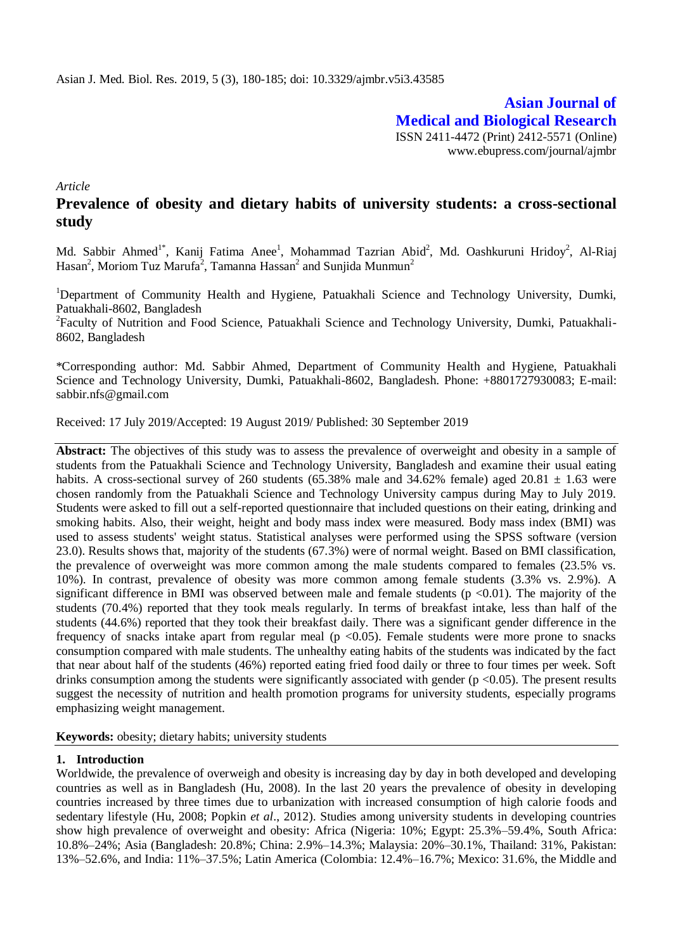**Asian Journal of Medical and Biological Research** ISSN 2411-4472 (Print) 2412-5571 (Online) www.ebupress.com/journal/ajmbr

*Article*

# **Prevalence of obesity and dietary habits of university students: a cross-sectional study**

Md. Sabbir Ahmed<sup>1\*</sup>, Kanij Fatima Anee<sup>1</sup>, Mohammad Tazrian Abid<sup>2</sup>, Md. Oashkuruni Hridoy<sup>2</sup>, Al-Riaj Hasan<sup>2</sup>, Moriom Tuz Marufa<sup>2</sup>, Tamanna Hassan<sup>2</sup> and Sunjida Munmun<sup>2</sup>

<sup>1</sup>Department of Community Health and Hygiene, Patuakhali Science and Technology University, Dumki, Patuakhali-8602, Bangladesh

<sup>2</sup>Faculty of Nutrition and Food Science, Patuakhali Science and Technology University, Dumki, Patuakhali-8602, Bangladesh

\*Corresponding author: Md. Sabbir Ahmed, Department of Community Health and Hygiene, Patuakhali Science and Technology University, Dumki, Patuakhali-8602, Bangladesh. Phone: +8801727930083; E-mail: [sabbir.nfs@gmail.com](mailto:sabbir.nfs@gmail.com)

Received: 17 July 2019/Accepted: 19 August 2019/ Published: 30 September 2019

Abstract: The objectives of this study was to assess the prevalence of overweight and obesity in a sample of students from the Patuakhali Science and Technology University, Bangladesh and examine their usual eating habits. A cross-sectional survey of 260 students (65.38% male and 34.62% female) aged 20.81  $\pm$  1.63 were chosen randomly from the Patuakhali Science and Technology University campus during May to July 2019. Students were asked to fill out a self-reported questionnaire that included questions on their eating, drinking and smoking habits. Also, their weight, height and body mass index were measured. Body mass index (BMI) was used to assess students' weight status. Statistical analyses were performed using the SPSS software (version 23.0). Results shows that, majority of the students (67.3%) were of normal weight. Based on BMI classification, the prevalence of overweight was more common among the male students compared to females (23.5% vs. 10%). In contrast, prevalence of obesity was more common among female students (3.3% vs. 2.9%). A significant difference in BMI was observed between male and female students ( $p \le 0.01$ ). The majority of the students (70.4%) reported that they took meals regularly. In terms of breakfast intake, less than half of the students (44.6%) reported that they took their breakfast daily. There was a significant gender difference in the frequency of snacks intake apart from regular meal ( $p \le 0.05$ ). Female students were more prone to snacks consumption compared with male students. The unhealthy eating habits of the students was indicated by the fact that near about half of the students (46%) reported eating fried food daily or three to four times per week. Soft drinks consumption among the students were significantly associated with gender ( $p < 0.05$ ). The present results suggest the necessity of nutrition and health promotion programs for university students, especially programs emphasizing weight management.

**Keywords:** obesity; dietary habits; university students

## **1. Introduction**

Worldwide, the prevalence of overweigh and obesity is increasing day by day in both developed and developing countries as well as in Bangladesh (Hu, 2008). In the last 20 years the prevalence of obesity in developing countries increased by three times due to urbanization with increased consumption of high calorie foods and sedentary lifestyle (Hu, 2008; Popkin *et al*., 2012). Studies among university students in developing countries show high prevalence of overweight and obesity: Africa (Nigeria: 10%; Egypt: 25.3%–59.4%, South Africa: 10.8%–24%; Asia (Bangladesh: 20.8%; China: 2.9%–14.3%; Malaysia: 20%–30.1%, Thailand: 31%, Pakistan: 13%–52.6%, and India: 11%–37.5%; Latin America (Colombia: 12.4%–16.7%; Mexico: 31.6%, the Middle and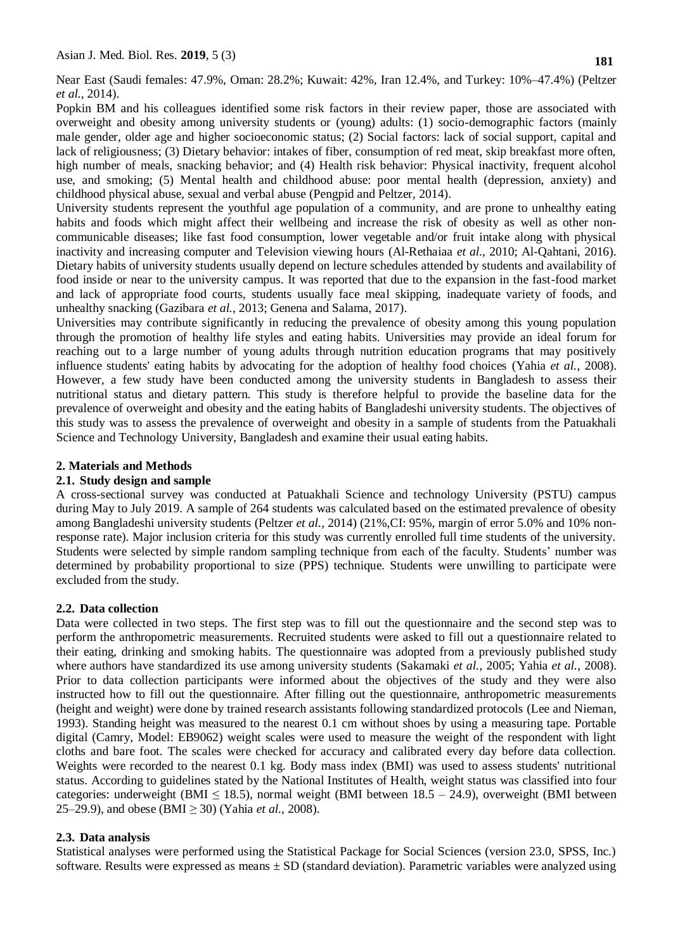Near East (Saudi females: 47.9%, Oman: 28.2%; Kuwait: 42%, Iran 12.4%, and Turkey: 10%–47.4%) (Peltzer *et al.*, 2014).

Popkin BM and his colleagues identified some risk factors in their review paper, those are associated with overweight and obesity among university students or (young) adults: (1) socio-demographic factors (mainly male gender, older age and higher socioeconomic status; (2) Social factors: lack of social support, capital and lack of religiousness; (3) Dietary behavior: intakes of fiber, consumption of red meat, skip breakfast more often, high number of meals, snacking behavior; and (4) Health risk behavior: Physical inactivity, frequent alcohol use, and smoking; (5) Mental health and childhood abuse: poor mental health (depression, anxiety) and childhood physical abuse, sexual and verbal abuse (Pengpid and Peltzer, 2014).

University students represent the youthful age population of a community, and are prone to unhealthy eating habits and foods which might affect their wellbeing and increase the risk of obesity as well as other noncommunicable diseases; like fast food consumption, lower vegetable and/or fruit intake along with physical inactivity and increasing computer and Television viewing hours (Al-Rethaiaa *et al*., 2010; Al-Qahtani, 2016). Dietary habits of university students usually depend on lecture schedules attended by students and availability of food inside or near to the university campus. It was reported that due to the expansion in the fast-food market and lack of appropriate food courts, students usually face meal skipping, inadequate variety of foods, and unhealthy snacking (Gazibara *et al.*, 2013; Genena and Salama, 2017).

Universities may contribute significantly in reducing the prevalence of obesity among this young population through the promotion of healthy life styles and eating habits. Universities may provide an ideal forum for reaching out to a large number of young adults through nutrition education programs that may positively influence students' eating habits by advocating for the adoption of healthy food choices (Yahia *et al.*, 2008). However, a few study have been conducted among the university students in Bangladesh to assess their nutritional status and dietary pattern. This study is therefore helpful to provide the baseline data for the prevalence of overweight and obesity and the eating habits of Bangladeshi university students. The objectives of this study was to assess the prevalence of overweight and obesity in a sample of students from the Patuakhali Science and Technology University, Bangladesh and examine their usual eating habits.

## **2. Materials and Methods**

## **2.1. Study design and sample**

A cross-sectional survey was conducted at Patuakhali Science and technology University (PSTU) campus during May to July 2019. A sample of 264 students was calculated based on the estimated prevalence of obesity among Bangladeshi university students (Peltzer *et al.*, 2014) (21%,CI: 95%, margin of error 5.0% and 10% nonresponse rate). Major inclusion criteria for this study was currently enrolled full time students of the university. Students were selected by simple random sampling technique from each of the faculty. Students' number was determined by probability proportional to size (PPS) technique. Students were unwilling to participate were excluded from the study.

## **2.2. Data collection**

Data were collected in two steps. The first step was to fill out the questionnaire and the second step was to perform the anthropometric measurements. Recruited students were asked to fill out a questionnaire related to their eating, drinking and smoking habits. The questionnaire was adopted from a previously published study where authors have standardized its use among university students (Sakamaki *et al.*, 2005; Yahia *et al.*, 2008). Prior to data collection participants were informed about the objectives of the study and they were also instructed how to fill out the questionnaire. After filling out the questionnaire, anthropometric measurements (height and weight) were done by trained research assistants following standardized protocols (Lee and Nieman, 1993). Standing height was measured to the nearest 0.1 cm without shoes by using a measuring tape. Portable digital (Camry, Model: EB9062) weight scales were used to measure the weight of the respondent with light cloths and bare foot. The scales were checked for accuracy and calibrated every day before data collection. Weights were recorded to the nearest 0.1 kg. Body mass index (BMI) was used to assess students' nutritional status. According to guidelines stated by the National Institutes of Health, weight status was classified into four categories: underweight (BMI  $\leq$  18.5), normal weight (BMI between 18.5 – 24.9), overweight (BMI between 25–29.9), and obese (BMI  $\geq$  30) (Yahia *et al.*, 2008).

# **2.3. Data analysis**

Statistical analyses were performed using the Statistical Package for Social Sciences (version 23.0, SPSS, Inc.) software. Results were expressed as means  $\pm$  SD (standard deviation). Parametric variables were analyzed using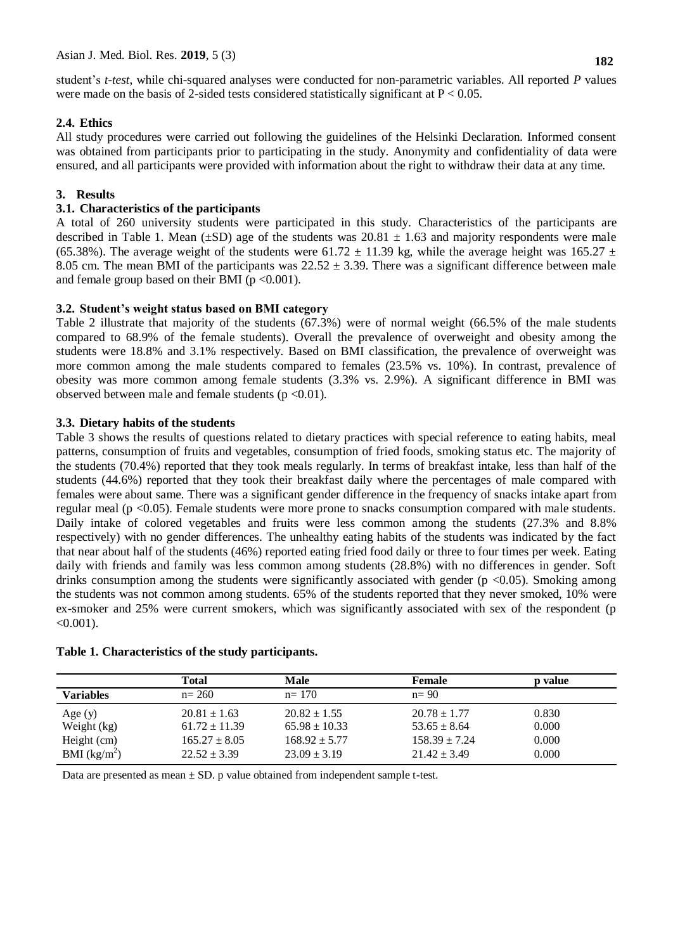student's *t-test*, while chi-squared analyses were conducted for non-parametric variables. All reported *P* values were made on the basis of 2-sided tests considered statistically significant at  $P < 0.05$ .

## **2.4. Ethics**

All study procedures were carried out following the guidelines of the Helsinki Declaration. Informed consent was obtained from participants prior to participating in the study. Anonymity and confidentiality of data were ensured, and all participants were provided with information about the right to withdraw their data at any time.

## **3. Results**

## **3.1. Characteristics of the participants**

A total of 260 university students were participated in this study. Characteristics of the participants are described in Table 1. Mean ( $\pm SD$ ) age of the students was 20.81  $\pm$  1.63 and majority respondents were male (65.38%). The average weight of the students were 61.72  $\pm$  11.39 kg, while the average height was 165.27  $\pm$ 8.05 cm. The mean BMI of the participants was  $22.52 \pm 3.39$ . There was a significant difference between male and female group based on their BMI ( $p < 0.001$ ).

## **3.2. Student's weight status based on BMI category**

Table 2 illustrate that majority of the students (67.3%) were of normal weight (66.5% of the male students compared to 68.9% of the female students). Overall the prevalence of overweight and obesity among the students were 18.8% and 3.1% respectively. Based on BMI classification, the prevalence of overweight was more common among the male students compared to females (23.5% vs. 10%). In contrast, prevalence of obesity was more common among female students (3.3% vs. 2.9%). A significant difference in BMI was observed between male and female students ( $p < 0.01$ ).

## **3.3. Dietary habits of the students**

Table 3 shows the results of questions related to dietary practices with special reference to eating habits, meal patterns, consumption of fruits and vegetables, consumption of fried foods, smoking status etc. The majority of the students (70.4%) reported that they took meals regularly. In terms of breakfast intake, less than half of the students (44.6%) reported that they took their breakfast daily where the percentages of male compared with females were about same. There was a significant gender difference in the frequency of snacks intake apart from regular meal (p <0.05). Female students were more prone to snacks consumption compared with male students. Daily intake of colored vegetables and fruits were less common among the students (27.3% and 8.8% respectively) with no gender differences. The unhealthy eating habits of the students was indicated by the fact that near about half of the students (46%) reported eating fried food daily or three to four times per week. Eating daily with friends and family was less common among students (28.8%) with no differences in gender. Soft drinks consumption among the students were significantly associated with gender ( $p < 0.05$ ). Smoking among the students was not common among students. 65% of the students reported that they never smoked, 10% were ex-smoker and 25% were current smokers, which was significantly associated with sex of the respondent (p  $<0.001$ ).

|                  | Total             | <b>Male</b>       | <b>Female</b>     | p value |
|------------------|-------------------|-------------------|-------------------|---------|
| <b>Variables</b> | $n = 260$         | $n = 170$         | $n=90$            |         |
| Age $(y)$        | $20.81 \pm 1.63$  | $20.82 \pm 1.55$  | $20.78 \pm 1.77$  | 0.830   |
| Weight (kg)      | $61.72 \pm 11.39$ | $65.98 \pm 10.33$ | $53.65 \pm 8.64$  | 0.000   |
| Height (cm)      | $165.27 \pm 8.05$ | $168.92 \pm 5.77$ | $158.39 \pm 7.24$ | 0.000   |
| BMI $(kg/m^2)$   | $22.52 \pm 3.39$  | $23.09 \pm 3.19$  | $21.42 \pm 3.49$  | 0.000   |

Data are presented as mean  $\pm$  SD. p value obtained from independent sample t-test.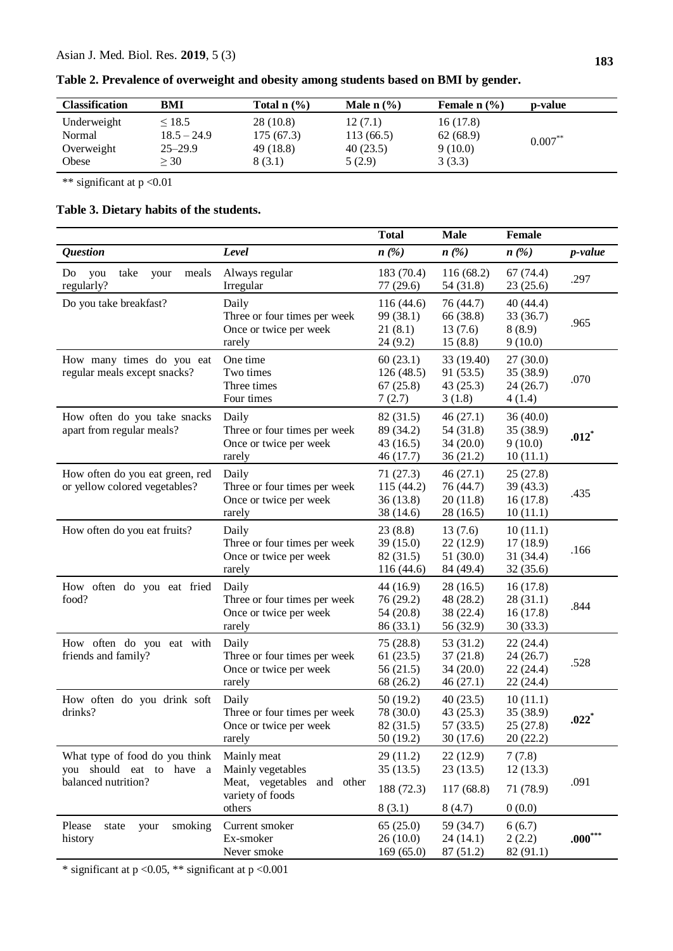| <b>Classification</b> | BMI           | Total $n$ $\left(\frac{9}{6}\right)$ | Male $n$ (%) | Female $n$ $\left(\frac{9}{6}\right)$ | p-value    |
|-----------------------|---------------|--------------------------------------|--------------|---------------------------------------|------------|
| Underweight           | < 18.5        | 28 (10.8)                            | 12(7.1)      | 16(17.8)                              | $0.007***$ |
| Normal                | $18.5 - 24.9$ | 175(67.3)                            | 113(66.5)    | 62(68.9)                              |            |
| Overweight            | $25 - 29.9$   | 49 (18.8)                            | 40(23.5)     | 9(10.0)                               |            |
| Obese                 | >30           | 8(3.1)                               | 5(2.9)       | 3(3.3)                                |            |

**Table 2. Prevalence of overweight and obesity among students based on BMI by gender.**

\*\* significant at p <0.01

# **Table 3. Dietary habits of the students.**

|                                                                                   |                                                                                                 | <b>Total</b>                                     | <b>Male</b>                                     | Female                                         |                     |
|-----------------------------------------------------------------------------------|-------------------------------------------------------------------------------------------------|--------------------------------------------------|-------------------------------------------------|------------------------------------------------|---------------------|
| <b>Question</b>                                                                   | Level                                                                                           | $n\left(\frac{\%}{\%}\right)$                    | $n\left(\frac{\%}{\%}\right)$                   | $n\left(\frac{\%}{\%}\right)$                  | <i>p</i> -value     |
| take<br>Do<br>meals<br>you<br>your<br>regularly?                                  | Always regular<br>Irregular                                                                     | 183 (70.4)<br>77 (29.6)                          | 116(68.2)<br>54 (31.8)                          | 67(74.4)<br>23 (25.6)                          | .297                |
| Do you take breakfast?                                                            | Daily<br>Three or four times per week<br>Once or twice per week<br>rarely                       | 116 (44.6)<br>99 (38.1)<br>21(8.1)<br>24(9.2)    | 76 (44.7)<br>66 (38.8)<br>13(7.6)<br>15(8.8)    | 40 (44.4)<br>33 (36.7)<br>8(8.9)<br>9(10.0)    | .965                |
| How many times do you eat<br>regular meals except snacks?                         | One time<br>Two times<br>Three times<br>Four times                                              | 60(23.1)<br>126(48.5)<br>67(25.8)<br>7(2.7)      | 33 (19.40)<br>91(53.5)<br>43(25.3)<br>3(1.8)    | 27(30.0)<br>35 (38.9)<br>24(26.7)<br>4(1.4)    | .070                |
| How often do you take snacks<br>apart from regular meals?                         | Daily<br>Three or four times per week<br>Once or twice per week<br>rarely                       | 82 (31.5)<br>89 (34.2)<br>43 (16.5)<br>46 (17.7) | 46(27.1)<br>54 (31.8)<br>34(20.0)<br>36(21.2)   | 36(40.0)<br>35 (38.9)<br>9(10.0)<br>10(11.1)   | $.012*$             |
| How often do you eat green, red<br>or yellow colored vegetables?                  | Daily<br>Three or four times per week<br>Once or twice per week<br>rarely                       | 71(27.3)<br>115(44.2)<br>36 (13.8)<br>38 (14.6)  | 46(27.1)<br>76 (44.7)<br>20(11.8)<br>28 (16.5)  | 25(27.8)<br>39 (43.3)<br>16(17.8)<br>10(11.1)  | .435                |
| How often do you eat fruits?                                                      | Daily<br>Three or four times per week<br>Once or twice per week<br>rarely                       | 23(8.8)<br>39 (15.0)<br>82 (31.5)<br>116 (44.6)  | 13(7.6)<br>22(12.9)<br>51 (30.0)<br>84 (49.4)   | 10(11.1)<br>17(18.9)<br>31 (34.4)<br>32(35.6)  | .166                |
| How often do you eat fried<br>food?                                               | Daily<br>Three or four times per week<br>Once or twice per week<br>rarely                       | 44 (16.9)<br>76 (29.2)<br>54 (20.8)<br>86 (33.1) | 28(16.5)<br>48 (28.2)<br>38 (22.4)<br>56 (32.9) | 16(17.8)<br>28(31.1)<br>16(17.8)<br>30(33.3)   | .844                |
| How often do you eat with<br>friends and family?                                  | Daily<br>Three or four times per week<br>Once or twice per week<br>rarely                       | 75 (28.8)<br>61(23.5)<br>56 (21.5)<br>68 (26.2)  | 53 (31.2)<br>37(21.8)<br>34(20.0)<br>46(27.1)   | 22(24.4)<br>24 (26.7)<br>22(24.4)<br>22 (24.4) | .528                |
| How often do you drink soft<br>drinks?                                            | Daily<br>Three or four times per week<br>Once or twice per week<br>rarely                       | 50(19.2)<br>78 (30.0)<br>82 (31.5)<br>50 (19.2)  | 40(23.5)<br>43(25.3)<br>57 (33.5)<br>30(17.6)   | 10(11.1)<br>35 (38.9)<br>25(27.8)<br>20(22.2)  | $.022$ <sup>*</sup> |
| What type of food do you think<br>you should eat to have a<br>balanced nutrition? | Mainly meat<br>Mainly vegetables<br>Meat, vegetables<br>and other<br>variety of foods<br>others | 29(11.2)<br>35(13.5)<br>188 (72.3)<br>8(3.1)     | 22(12.9)<br>23(13.5)<br>117(68.8)<br>8(4.7)     | 7(7.8)<br>12(13.3)<br>71 (78.9)<br>0(0.0)      | .091                |
| Please<br>your<br>smoking<br>state<br>history                                     | Current smoker<br>Ex-smoker<br>Never smoke                                                      | 65(25.0)<br>26 (10.0)<br>169(65.0)               | 59 (34.7)<br>24(14.1)<br>87 (51.2)              | 6(6.7)<br>2(2.2)<br>82(91.1)                   | $.000***$           |

\* significant at p <0.05, \*\* significant at p <0.001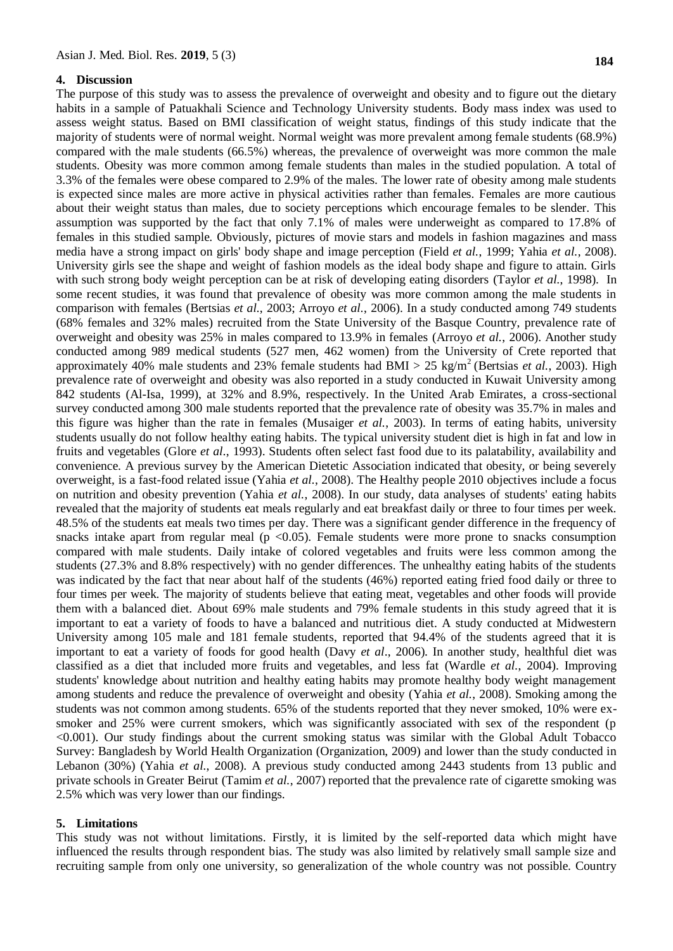#### **4. Discussion**

The purpose of this study was to assess the prevalence of overweight and obesity and to figure out the dietary habits in a sample of Patuakhali Science and Technology University students. Body mass index was used to assess weight status. Based on BMI classification of weight status, findings of this study indicate that the majority of students were of normal weight. Normal weight was more prevalent among female students (68.9%) compared with the male students (66.5%) whereas, the prevalence of overweight was more common the male students. Obesity was more common among female students than males in the studied population. A total of 3.3% of the females were obese compared to 2.9% of the males. The lower rate of obesity among male students is expected since males are more active in physical activities rather than females. Females are more cautious about their weight status than males, due to society perceptions which encourage females to be slender. This assumption was supported by the fact that only 7.1% of males were underweight as compared to 17.8% of females in this studied sample. Obviously, pictures of movie stars and models in fashion magazines and mass media have a strong impact on girls' body shape and image perception (Field *et al.*, 1999; Yahia *et al.*, 2008). University girls see the shape and weight of fashion models as the ideal body shape and figure to attain. Girls with such strong body weight perception can be at risk of developing eating disorders (Taylor *et al.*, 1998). In some recent studies, it was found that prevalence of obesity was more common among the male students in comparison with females (Bertsias *et al.*, 2003; Arroyo *et al.*, 2006). In a study conducted among 749 students (68% females and 32% males) recruited from the State University of the Basque Country, prevalence rate of overweight and obesity was 25% in males compared to 13.9% in females (Arroyo *et al.*, 2006). Another study conducted among 989 medical students (527 men, 462 women) from the University of Crete reported that approximately 40% male students and 23% female students had BMI > 25 kg/m<sup>2</sup> (Bertsias *et al.*, 2003). High prevalence rate of overweight and obesity was also reported in a study conducted in Kuwait University among 842 students (Al-Isa, 1999), at 32% and 8.9%, respectively. In the United Arab Emirates, a cross-sectional survey conducted among 300 male students reported that the prevalence rate of obesity was 35.7% in males and this figure was higher than the rate in females (Musaiger *et al.*, 2003). In terms of eating habits, university students usually do not follow healthy eating habits. The typical university student diet is high in fat and low in fruits and vegetables (Glore *et al*., 1993). Students often select fast food due to its palatability, availability and convenience. A previous survey by the American Dietetic Association indicated that obesity, or being severely overweight, is a fast-food related issue (Yahia *et al.*, 2008). The Healthy people 2010 objectives include a focus on nutrition and obesity prevention (Yahia *et al.*, 2008). In our study, data analyses of students' eating habits revealed that the majority of students eat meals regularly and eat breakfast daily or three to four times per week. 48.5% of the students eat meals two times per day. There was a significant gender difference in the frequency of snacks intake apart from regular meal ( $p \le 0.05$ ). Female students were more prone to snacks consumption compared with male students. Daily intake of colored vegetables and fruits were less common among the students (27.3% and 8.8% respectively) with no gender differences. The unhealthy eating habits of the students was indicated by the fact that near about half of the students (46%) reported eating fried food daily or three to four times per week. The majority of students believe that eating meat, vegetables and other foods will provide them with a balanced diet. About 69% male students and 79% female students in this study agreed that it is important to eat a variety of foods to have a balanced and nutritious diet. A study conducted at Midwestern University among 105 male and 181 female students, reported that 94.4% of the students agreed that it is important to eat a variety of foods for good health (Davy *et al*., 2006). In another study, healthful diet was classified as a diet that included more fruits and vegetables, and less fat (Wardle *et al.*, 2004). Improving students' knowledge about nutrition and healthy eating habits may promote healthy body weight management among students and reduce the prevalence of overweight and obesity (Yahia *et al.*, 2008). Smoking among the students was not common among students. 65% of the students reported that they never smoked, 10% were exsmoker and 25% were current smokers, which was significantly associated with sex of the respondent (p <0.001). Our study findings about the current smoking status was similar with the Global Adult Tobacco Survey: Bangladesh by World Health Organization (Organization, 2009) and lower than the study conducted in Lebanon (30%) (Yahia *et al.*, 2008). A previous study conducted among 2443 students from 13 public and private schools in Greater Beirut (Tamim *et al.*, 2007) reported that the prevalence rate of cigarette smoking was 2.5% which was very lower than our findings.

#### **5. Limitations**

This study was not without limitations. Firstly, it is limited by the self-reported data which might have influenced the results through respondent bias. The study was also limited by relatively small sample size and recruiting sample from only one university, so generalization of the whole country was not possible. Country